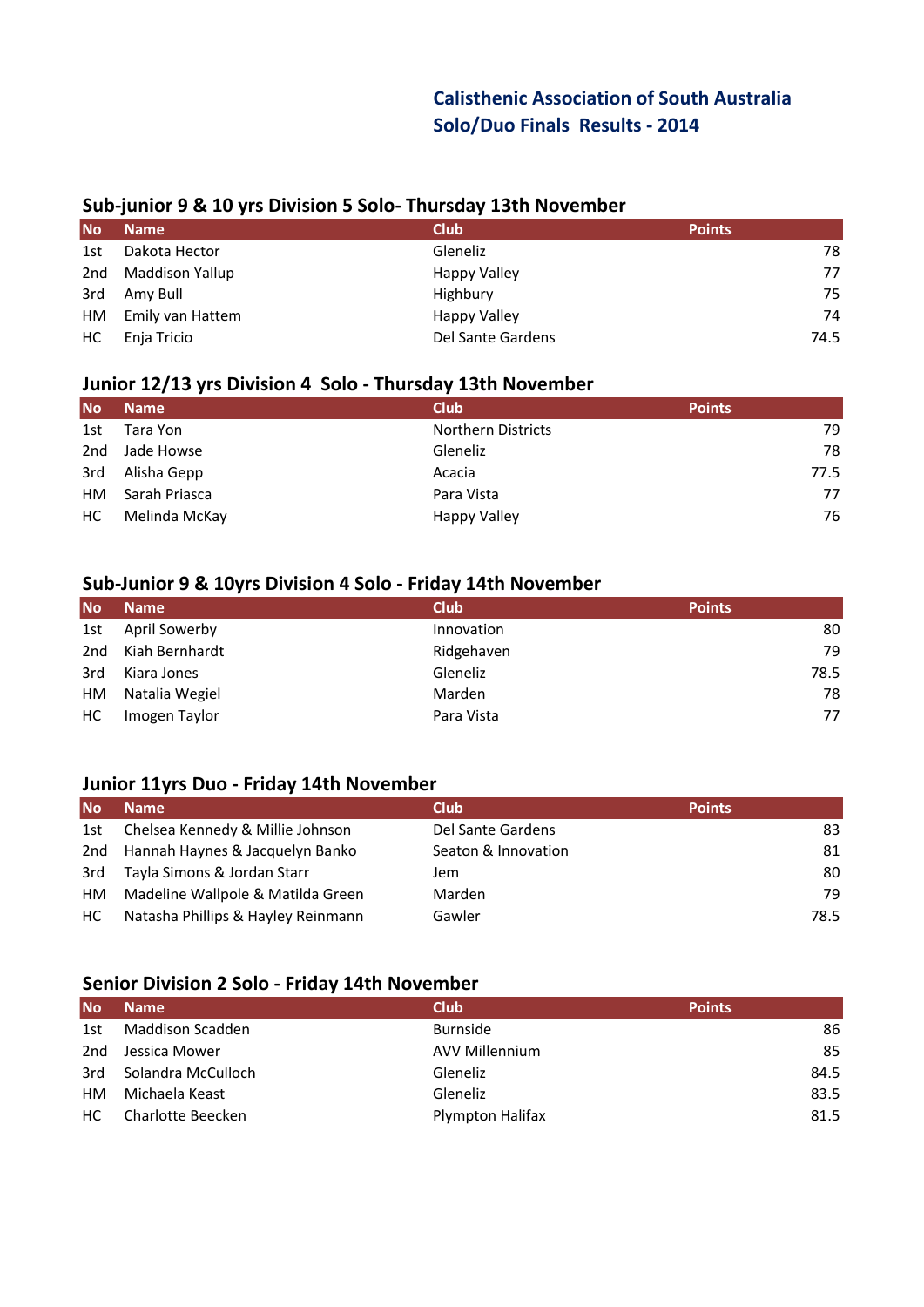## **Calisthenic Association of South Australia Solo/Duo Finals Results - 2014**

#### **Sub-junior 9 & 10 yrs Division 5 Solo- Thursday 13th November**

| <b>No</b> | <b>Name</b>      | <b>Club</b>       | <b>Points</b> |
|-----------|------------------|-------------------|---------------|
| 1st       | Dakota Hector    | Gleneliz          | 78            |
| 2nd       | Maddison Yallup  | Happy Valley      | 77            |
| 3rd       | Amy Bull         | Highbury          | 75            |
| HM        | Emily van Hattem | Happy Valley      | 74            |
| HC.       | Enja Tricio      | Del Sante Gardens | 74.5          |

## **Junior 12/13 yrs Division 4 Solo - Thursday 13th November**

| <b>No</b> | <b>Name</b>   | <b>Club</b>               | <b>Points</b> |
|-----------|---------------|---------------------------|---------------|
| 1st       | Tara Yon      | <b>Northern Districts</b> | 79            |
| 2nd       | Jade Howse    | <b>Gleneliz</b>           | 78            |
| 3rd       | Alisha Gepp   | Acacia                    | 77.5          |
| HM.       | Sarah Priasca | Para Vista                | 77            |
| HC.       | Melinda McKay | <b>Happy Valley</b>       | 76            |

#### **Sub-Junior 9 & 10yrs Division 4 Solo - Friday 14th November**

| <b>No</b> | <b>Name</b>    | <b>Club</b> | <b>Points</b> |
|-----------|----------------|-------------|---------------|
| 1st       | April Sowerby  | Innovation  | 80            |
| 2nd       | Kiah Bernhardt | Ridgehaven  | 79            |
| 3rd       | Kiara Jones    | Gleneliz    | 78.5          |
| HM        | Natalia Wegiel | Marden      | 78            |
| HC.       | Imogen Taylor  | Para Vista  | 77            |

## **Junior 11yrs Duo - Friday 14th November**

| <b>No</b> | <b>Name</b>                        | <b>Club</b>         | <b>Points</b> |
|-----------|------------------------------------|---------------------|---------------|
| 1st       | Chelsea Kennedy & Millie Johnson   | Del Sante Gardens   | 83            |
| 2nd       | Hannah Haynes & Jacquelyn Banko    | Seaton & Innovation | 81            |
| 3rd       | Tayla Simons & Jordan Starr        | Jem                 | 80            |
| HМ        | Madeline Wallpole & Matilda Green  | Marden              | 79            |
| HC.       | Natasha Phillips & Hayley Reinmann | Gawler              | 78.5          |

## **Senior Division 2 Solo - Friday 14th November**

| <b>No</b> | <b>Name</b>        | <b>Club</b>      | <b>Points</b> |
|-----------|--------------------|------------------|---------------|
| 1st       | Maddison Scadden   | <b>Burnside</b>  | 86            |
| 2nd       | Jessica Mower      | AVV Millennium   | 85            |
| 3rd       | Solandra McCulloch | Gleneliz         | 84.5          |
| HМ        | Michaela Keast     | Gleneliz         | 83.5          |
| HC.       | Charlotte Beecken  | Plympton Halifax | 81.5          |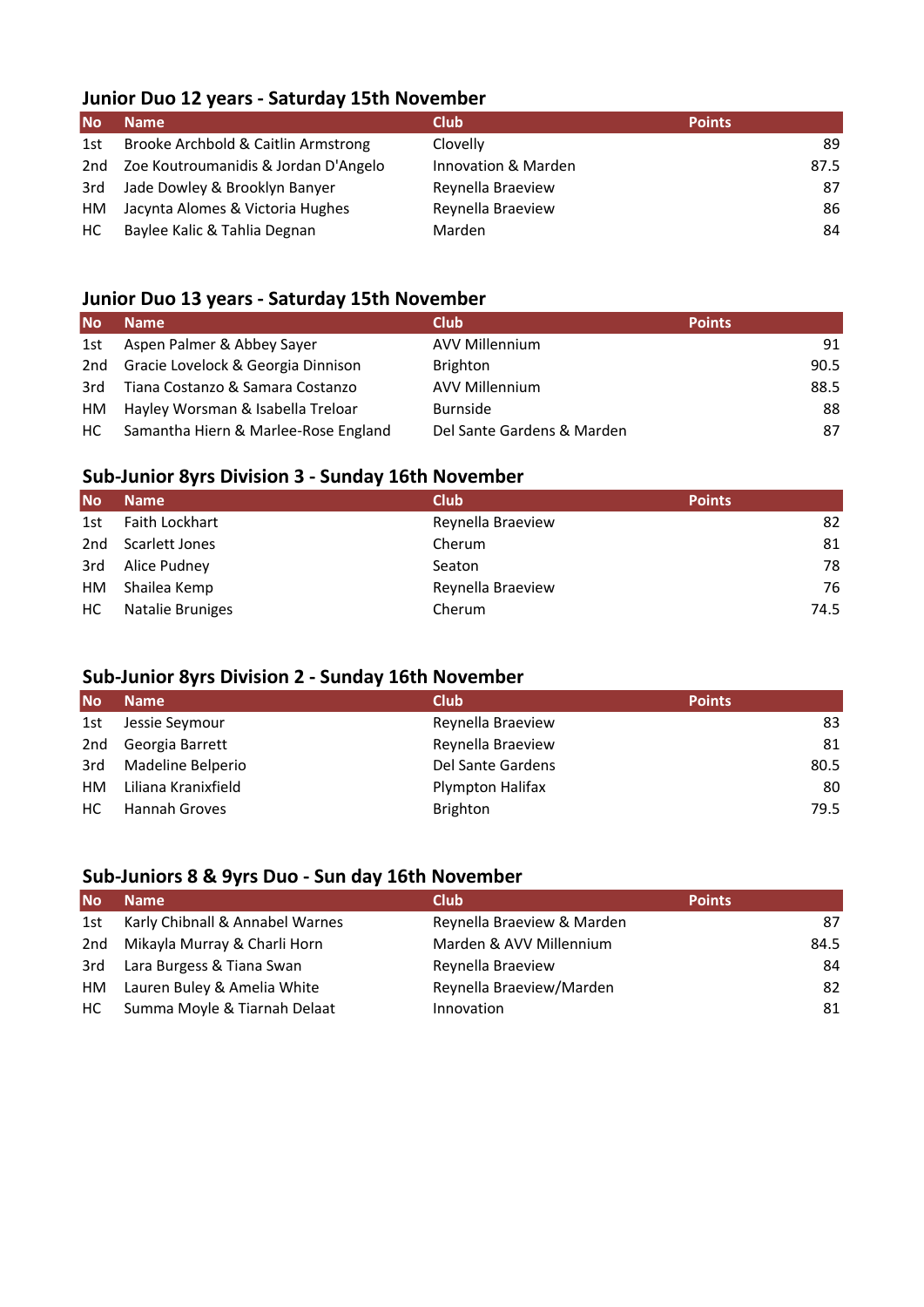## **Junior Duo 12 years - Saturday 15th November**

| <b>No</b> | <b>Name</b>                          | <b>Club</b>         | <b>Points</b> |
|-----------|--------------------------------------|---------------------|---------------|
| 1st       | Brooke Archbold & Caitlin Armstrong  | Clovelly            | 89            |
| 2nd       | Zoe Koutroumanidis & Jordan D'Angelo | Innovation & Marden | 87.5          |
| 3rd       | Jade Dowley & Brooklyn Banyer        | Reynella Braeview   | 87            |
| HM        | Jacynta Alomes & Victoria Hughes     | Reynella Braeview   | 86            |
| HC.       | Baylee Kalic & Tahlia Degnan         | Marden              | 84            |

#### **Junior Duo 13 years - Saturday 15th November**

| <b>No</b> | <b>Name</b>                          | <b>Club</b>                | <b>Points</b> |
|-----------|--------------------------------------|----------------------------|---------------|
| 1st       | Aspen Palmer & Abbey Sayer           | <b>AVV Millennium</b>      | 91            |
| 2nd       | Gracie Lovelock & Georgia Dinnison   | <b>Brighton</b>            | 90.5          |
| 3rd       | Tiana Costanzo & Samara Costanzo     | <b>AVV Millennium</b>      | 88.5          |
| HМ        | Hayley Worsman & Isabella Treloar    | <b>Burnside</b>            | 88            |
| HC.       | Samantha Hiern & Marlee-Rose England | Del Sante Gardens & Marden | 87            |

## **Sub-Junior 8yrs Division 3 - Sunday 16th November**

| <b>No</b> | <b>Name</b>      | <b>Club</b>       | <b>Points</b> |
|-----------|------------------|-------------------|---------------|
| 1st       | Faith Lockhart   | Reynella Braeview | 82            |
| 2nd       | Scarlett Jones   | Cherum            | 81            |
| 3rd       | Alice Pudney     | Seaton            | 78            |
| HM        | Shailea Kemp     | Reynella Braeview | 76            |
| НC        | Natalie Bruniges | Cherum            | 74.5          |

## **Sub-Junior 8yrs Division 2 - Sunday 16th November**

| <b>No</b> | <b>Name</b>          | <b>Club</b>       | <b>Points</b> |
|-----------|----------------------|-------------------|---------------|
| 1st       | Jessie Seymour       | Reynella Braeview | 83            |
| 2nd       | Georgia Barrett      | Reynella Braeview | 81            |
| 3rd       | Madeline Belperio    | Del Sante Gardens | 80.5          |
| HМ        | Liliana Kranixfield  | Plympton Halifax  | 80            |
| нc        | <b>Hannah Groves</b> | <b>Brighton</b>   | 79.5          |

## **Sub-Juniors 8 & 9yrs Duo - Sun day 16th November**

| <b>No</b> | <b>Name</b>                     | <b>Club</b>                | <b>Points</b> |
|-----------|---------------------------------|----------------------------|---------------|
| 1st       | Karly Chibnall & Annabel Warnes | Reynella Braeview & Marden | 87            |
| 2nd       | Mikayla Murray & Charli Horn    | Marden & AVV Millennium    | 84.5          |
| 3rd       | Lara Burgess & Tiana Swan       | Reynella Braeview          | 84            |
| HМ        | Lauren Buley & Amelia White     | Reynella Braeview/Marden   | 82            |
| HC.       | Summa Moyle & Tiarnah Delaat    | Innovation                 | 81            |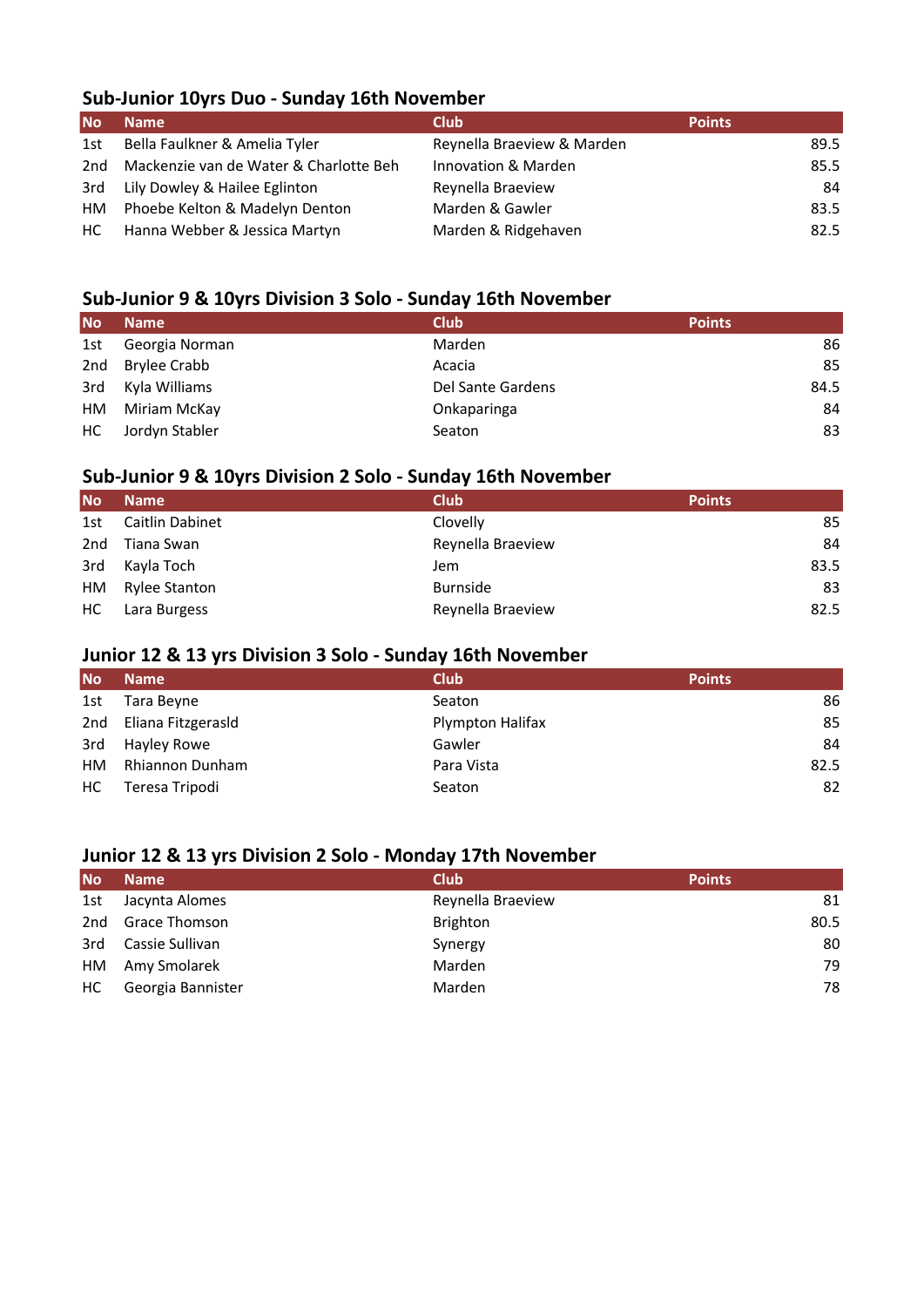## **Sub-Junior 10yrs Duo - Sunday 16th November**

| <b>No</b> | <b>Name</b>                            | <b>Club</b>                | <b>Points</b> |
|-----------|----------------------------------------|----------------------------|---------------|
| 1st       | Bella Faulkner & Amelia Tyler          | Reynella Braeview & Marden | 89.5          |
| 2nd       | Mackenzie van de Water & Charlotte Beh | Innovation & Marden        | 85.5          |
| 3rd       | Lily Dowley & Hailee Eglinton          | Reynella Braeview          | 84            |
| HM        | Phoebe Kelton & Madelyn Denton         | Marden & Gawler            | 83.5          |
| HC .      | Hanna Webber & Jessica Martyn          | Marden & Ridgehaven        | 82.5          |

## **Sub-Junior 9 & 10yrs Division 3 Solo - Sunday 16th November**

| <b>No</b> | <b>Name</b>    | <b>Club</b>       | <b>Points</b> |
|-----------|----------------|-------------------|---------------|
| 1st       | Georgia Norman | Marden            | 86            |
| 2nd       | Brylee Crabb   | Acacia            | 85            |
| 3rd       | Kyla Williams  | Del Sante Gardens | 84.5          |
| HM        | Miriam McKay   | Onkaparinga       | 84            |
| HC.       | Jordyn Stabler | Seaton            | 83            |

## **Sub-Junior 9 & 10yrs Division 2 Solo - Sunday 16th November**

| <b>No</b> | <b>Name</b>     | <b>Club</b>       | <b>Points</b> |
|-----------|-----------------|-------------------|---------------|
| 1st       | Caitlin Dabinet | Clovelly          | 85            |
| 2nd       | Tiana Swan      | Reynella Braeview | 84            |
| 3rd       | Kayla Toch      | Jem               | 83.5          |
| HM        | Rylee Stanton   | <b>Burnside</b>   | 83            |
| HC.       | Lara Burgess    | Reynella Braeview | 82.5          |

#### **Junior 12 & 13 yrs Division 3 Solo - Sunday 16th November**

| <b>No</b> | <b>Name</b>        | <b>Club</b>      | <b>Points</b> |
|-----------|--------------------|------------------|---------------|
| 1st       | Tara Beyne         | Seaton           | 86            |
| 2nd       | Eliana Fitzgerasld | Plympton Halifax | 85            |
| 3rd       | Hayley Rowe        | Gawler           | 84            |
| HM.       | Rhiannon Dunham    | Para Vista       | 82.5          |
| HC.       | Teresa Tripodi     | Seaton           | 82            |

## **Junior 12 & 13 yrs Division 2 Solo - Monday 17th November**

| <b>No</b> | <b>Name</b>          | <b>Club</b>       | <b>Points</b> |
|-----------|----------------------|-------------------|---------------|
| 1st       | Jacynta Alomes       | Reynella Braeview | 81            |
| 2nd       | <b>Grace Thomson</b> | <b>Brighton</b>   | 80.5          |
| 3rd       | Cassie Sullivan      | Synergy           | 80            |
| HМ        | Amy Smolarek         | Marden            | 79            |
| НC        | Georgia Bannister    | Marden            | 78            |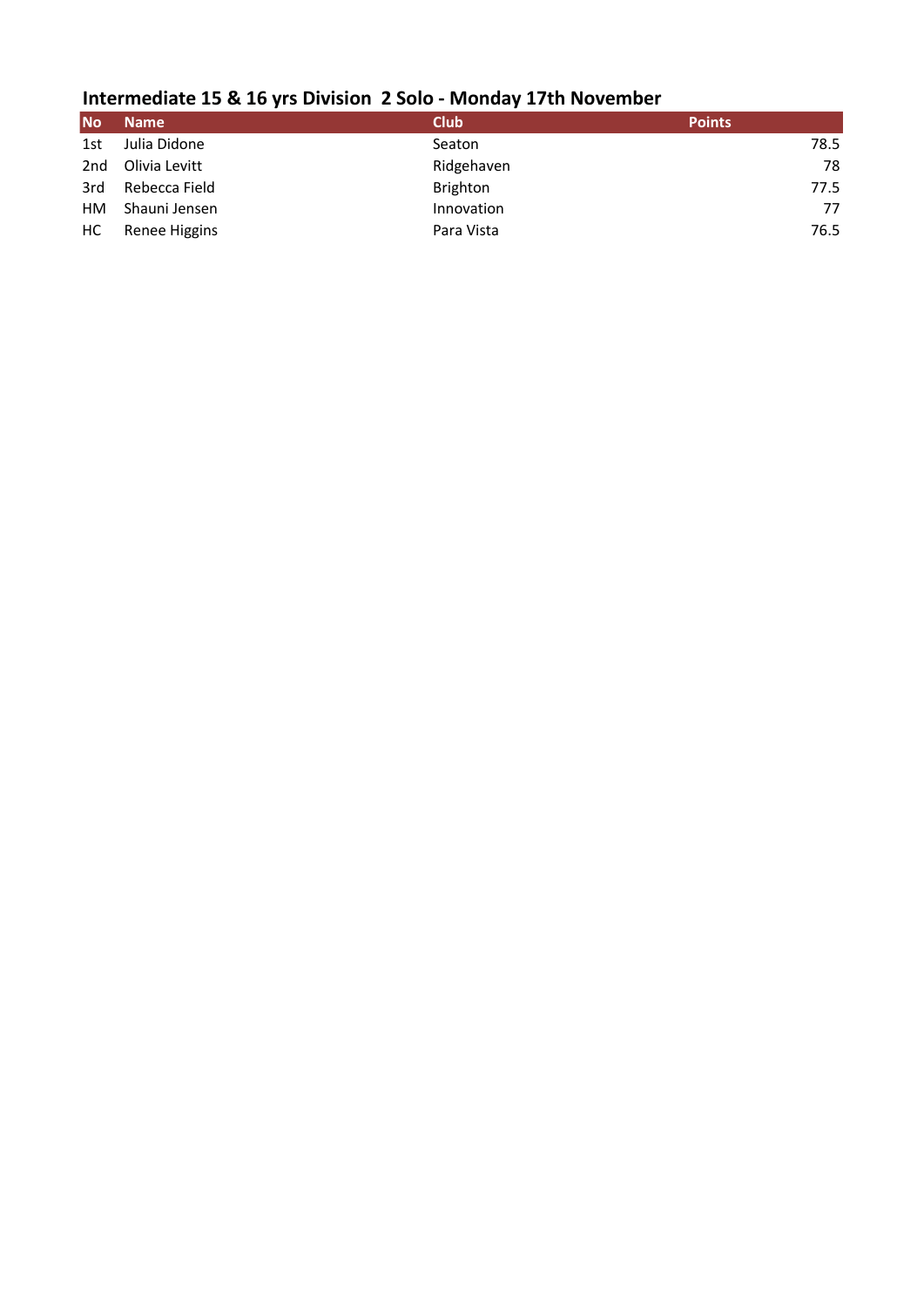# **Intermediate 15 & 16 yrs Division 2 Solo - Monday 17th November**

| <b>No</b>       | <b>Name</b>   | <b>Club</b>     | <b>Points</b> |
|-----------------|---------------|-----------------|---------------|
| 1st             | Julia Didone  | Seaton          | 78.5          |
| 2 <sub>nd</sub> | Olivia Levitt | Ridgehaven      | 78            |
| 3rd             | Rebecca Field | <b>Brighton</b> | 77.5          |
| HM.             | Shauni Jensen | Innovation      | 77            |
| HC.             | Renee Higgins | Para Vista      | 76.5          |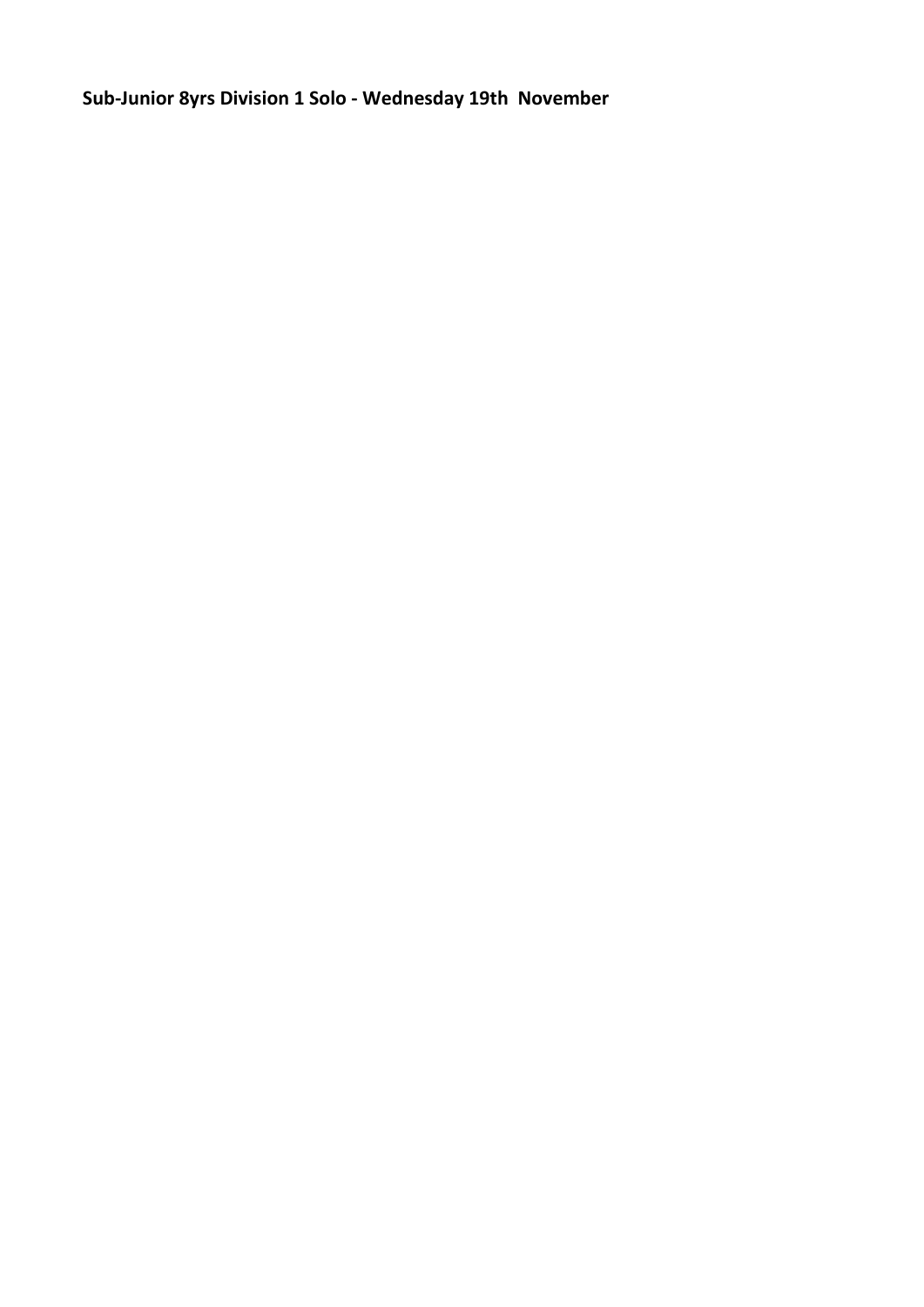**Sub-Junior 8yrs Division 1 Solo - Wednesday 19th November**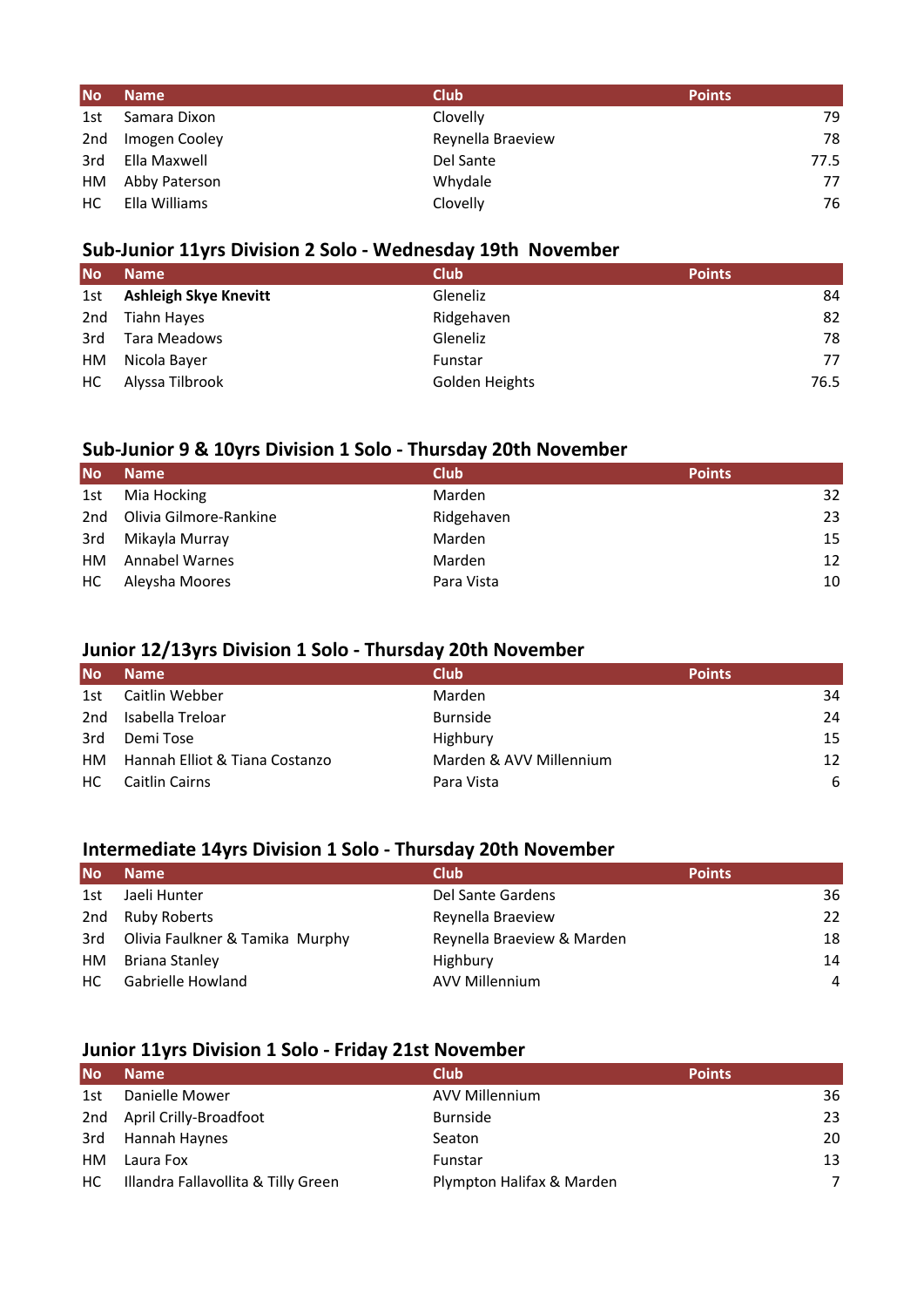| <b>No</b> | <b>Name</b>   | <b>Club</b>       | <b>Points</b> |
|-----------|---------------|-------------------|---------------|
| 1st       | Samara Dixon  | Clovelly          | 79            |
| 2nd       | Imogen Cooley | Reynella Braeview | 78            |
| 3rd       | Ella Maxwell  | Del Sante         | 77.5          |
| HM        | Abby Paterson | Whydale           | 77            |
| HC.       | Ella Williams | Clovelly          | 76            |

## **Sub-Junior 11yrs Division 2 Solo - Wednesday 19th November**

| <b>No</b> | <b>Name</b>                  | <b>Club</b>    | <b>Points</b> |
|-----------|------------------------------|----------------|---------------|
| 1st       | <b>Ashleigh Skye Knevitt</b> | Gleneliz       | 84            |
| 2nd       | <b>Tiahn Hayes</b>           | Ridgehaven     | 82            |
| 3rd       | Tara Meadows                 | Gleneliz       | 78            |
| HM        | Nicola Bayer                 | Funstar        | 77            |
| HC.       | Alyssa Tilbrook              | Golden Heights | 76.5          |

#### **Sub-Junior 9 & 10yrs Division 1 Solo - Thursday 20th November**

| <b>No</b> | <b>Name</b>            | <b>Club</b> | <b>Points</b> |
|-----------|------------------------|-------------|---------------|
| 1st       | Mia Hocking            | Marden      | 32            |
| 2nd       | Olivia Gilmore-Rankine | Ridgehaven  | 23            |
| 3rd       | Mikayla Murray         | Marden      | 15            |
| HМ        | <b>Annabel Warnes</b>  | Marden      | 12            |
| HC.       | Aleysha Moores         | Para Vista  | 10            |

## **Junior 12/13yrs Division 1 Solo - Thursday 20th November**

| <b>No</b> | <b>Name</b>                    | <b>Club</b>             | <b>Points</b> |
|-----------|--------------------------------|-------------------------|---------------|
| 1st       | Caitlin Webber                 | Marden                  | 34            |
| 2nd       | Isabella Treloar               | <b>Burnside</b>         | 24            |
| 3rd       | Demi Tose                      | Highbury                | 15            |
| HМ        | Hannah Elliot & Tiana Costanzo | Marden & AVV Millennium | 12            |
| HC.       | Caitlin Cairns                 | Para Vista              | 6             |

## **Intermediate 14yrs Division 1 Solo - Thursday 20th November**

| <b>No</b> | <b>Name</b>                     | <b>Club</b>                | <b>Points</b> |
|-----------|---------------------------------|----------------------------|---------------|
| 1st       | Jaeli Hunter                    | Del Sante Gardens          | 36            |
| 2nd       | <b>Ruby Roberts</b>             | Reynella Braeview          | 22            |
| 3rd       | Olivia Faulkner & Tamika Murphy | Reynella Braeview & Marden | 18            |
| HМ        | Briana Stanley                  | Highbury                   | 14            |
| HC.       | Gabrielle Howland               | <b>AVV Millennium</b>      | 4             |

## **Junior 11yrs Division 1 Solo - Friday 21st November**

| <b>No</b> | <b>Name</b>                         | <b>Club</b>               | <b>Points</b>  |
|-----------|-------------------------------------|---------------------------|----------------|
| 1st       | Danielle Mower                      | <b>AVV Millennium</b>     | 36             |
| 2nd       | April Crilly-Broadfoot              | <b>Burnside</b>           | 23             |
| 3rd       | Hannah Haynes                       | Seaton                    | 20             |
| <b>HM</b> | Laura Fox                           | Funstar                   | 13             |
| HC        | Illandra Fallavollita & Tilly Green | Plympton Halifax & Marden | $\overline{ }$ |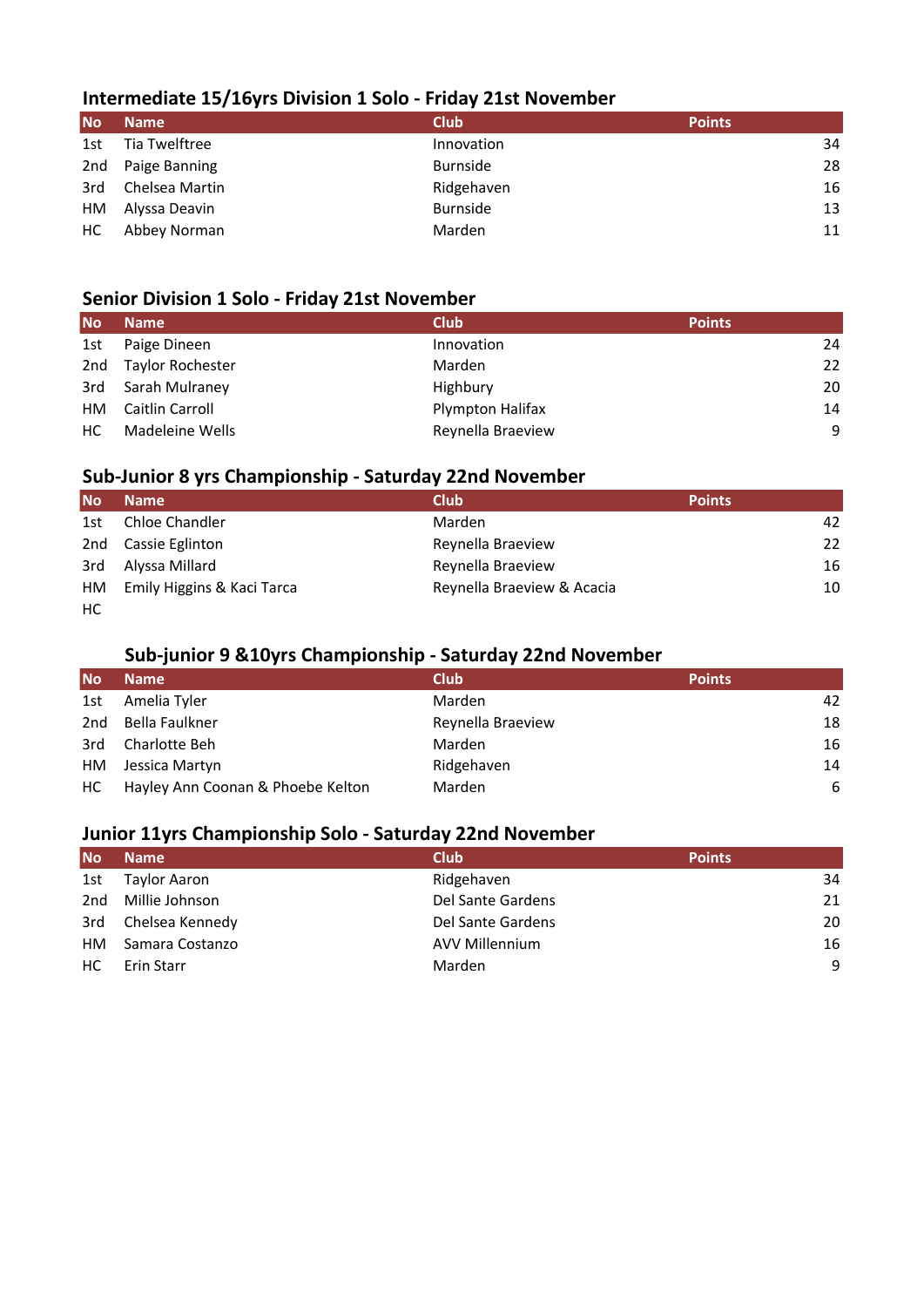## **Intermediate 15/16yrs Division 1 Solo - Friday 21st November**

| <b>No</b> | <b>Name</b>    | <b>Club</b>     | <b>Points</b> |
|-----------|----------------|-----------------|---------------|
| 1st       | Tia Twelftree  | Innovation      | 34            |
| 2nd       | Paige Banning  | <b>Burnside</b> | 28            |
| 3rd       | Chelsea Martin | Ridgehaven      | 16            |
| HМ        | Alyssa Deavin  | <b>Burnside</b> | 13            |
| HC.       | Abbey Norman   | Marden          | 11            |
|           |                |                 |               |

#### **Senior Division 1 Solo - Friday 21st November**

| <b>No</b> | <b>Name</b>      | <b>Club</b>       | <b>Points</b> |
|-----------|------------------|-------------------|---------------|
| 1st       | Paige Dineen     | Innovation        | 24            |
| 2nd       | Taylor Rochester | Marden            | 22            |
| 3rd       | Sarah Mulraney   | Highbury          | 20            |
| HM        | Caitlin Carroll  | Plympton Halifax  | 14            |
| HC.       | Madeleine Wells  | Reynella Braeview | 9             |

## **Sub-Junior 8 yrs Championship - Saturday 22nd November**

| <b>No</b> | <b>Name</b>                | <b>Club</b>                | <b>Points</b> |
|-----------|----------------------------|----------------------------|---------------|
| 1st       | Chloe Chandler             | Marden                     | 42            |
| 2nd       | Cassie Eglinton            | Reynella Braeview          | 22            |
| 3rd       | Alyssa Millard             | Reynella Braeview          | 16            |
| HM        | Emily Higgins & Kaci Tarca | Reynella Braeview & Acacia | 10            |
| HC        |                            |                            |               |

## **Sub-junior 9 &10yrs Championship - Saturday 22nd November**

| <b>No</b> | <b>Name</b>                       | <b>Club</b>       | <b>Points</b> |
|-----------|-----------------------------------|-------------------|---------------|
| 1st       | Amelia Tyler                      | Marden            | 42            |
| 2nd       | Bella Faulkner                    | Reynella Braeview | 18            |
| 3rd       | Charlotte Beh                     | Marden            | 16            |
| HМ        | Jessica Martyn                    | Ridgehaven        | 14            |
| HC.       | Hayley Ann Coonan & Phoebe Kelton | Marden            | 6             |

## **Junior 11yrs Championship Solo - Saturday 22nd November**

| <b>No</b> | <b>Name</b>     | <b>Club</b>           | <b>Points</b> |
|-----------|-----------------|-----------------------|---------------|
| 1st       | Taylor Aaron    | Ridgehaven            | 34            |
| 2nd       | Millie Johnson  | Del Sante Gardens     | 21            |
| 3rd       | Chelsea Kennedy | Del Sante Gardens     | 20            |
| HМ        | Samara Costanzo | <b>AVV Millennium</b> | 16            |
| HC.       | Erin Starr      | Marden                | 9             |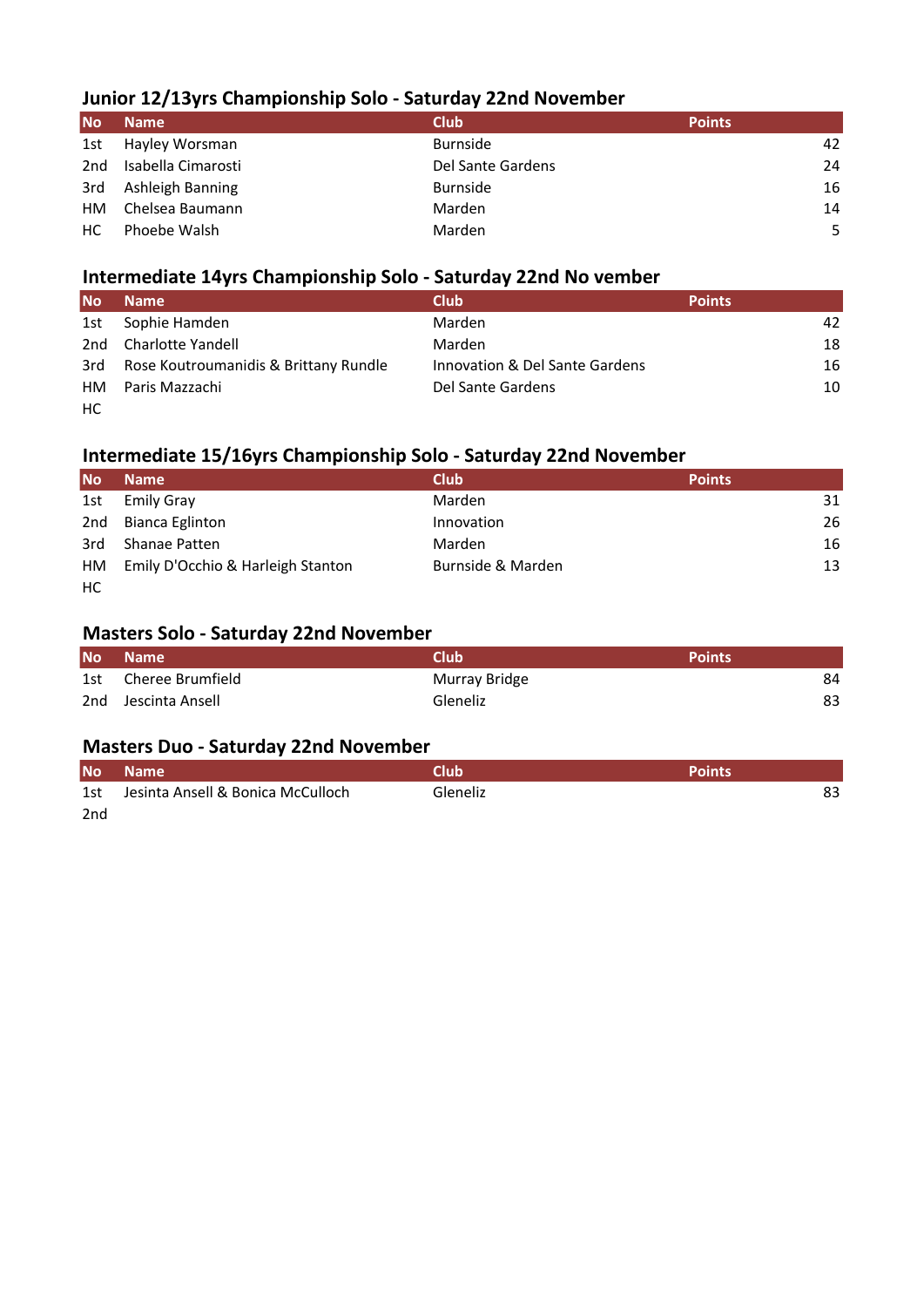## **Junior 12/13yrs Championship Solo - Saturday 22nd November**

| <b>No</b>       | <b>Name</b>        | <b>Club</b>       | <b>Points</b> |  |
|-----------------|--------------------|-------------------|---------------|--|
| 1st             | Hayley Worsman     | <b>Burnside</b>   | 42            |  |
| 2 <sub>nd</sub> | Isabella Cimarosti | Del Sante Gardens | 24            |  |
| 3rd             | Ashleigh Banning   | <b>Burnside</b>   | 16            |  |
| HМ              | Chelsea Baumann    | Marden            | 14            |  |
| НC              | Phoebe Walsh       | Marden            | 5             |  |
|                 |                    |                   |               |  |

#### **Intermediate 14yrs Championship Solo - Saturday 22nd No vember**

| <b>No</b> | <b>Name</b>                           | <b>Club</b>                    | <b>Points</b> |
|-----------|---------------------------------------|--------------------------------|---------------|
| 1st       | Sophie Hamden                         | Marden                         | 42            |
| 2nd       | Charlotte Yandell                     | Marden                         | 18            |
| 3rd       | Rose Koutroumanidis & Brittany Rundle | Innovation & Del Sante Gardens | 16            |
| HМ        | Paris Mazzachi                        | Del Sante Gardens              | 10            |
| HC.       |                                       |                                |               |

## **Intermediate 15/16yrs Championship Solo - Saturday 22nd November**

| <b>No</b> | <b>Name</b>                       | <b>Club</b>       | <b>Points</b> |
|-----------|-----------------------------------|-------------------|---------------|
| 1st       | <b>Emily Gray</b>                 | Marden            | 31            |
| 2nd       | Bianca Eglinton                   | Innovation        | 26            |
| 3rd       | Shanae Patten                     | <b>Marden</b>     | 16            |
| HM        | Emily D'Occhio & Harleigh Stanton | Burnside & Marden | 13            |
| HC        |                                   |                   |               |

## **Masters Solo - Saturday 22nd November**

| <b>No</b> | Name                | Club          | <b>Points</b> |
|-----------|---------------------|---------------|---------------|
| 1st       | Cheree Brumfield    | Murray Bridge | 84            |
|           | 2nd Jescinta Ansell | Gleneliz      | 83            |

## **Masters Duo - Saturday 22nd November**

| <b>No</b> | <b>Name</b>                       | Club     | <b>Points</b> |
|-----------|-----------------------------------|----------|---------------|
| 1st       | Jesinta Ansell & Bonica McCulloch | Gleneliz | 83            |
| 2nd       |                                   |          |               |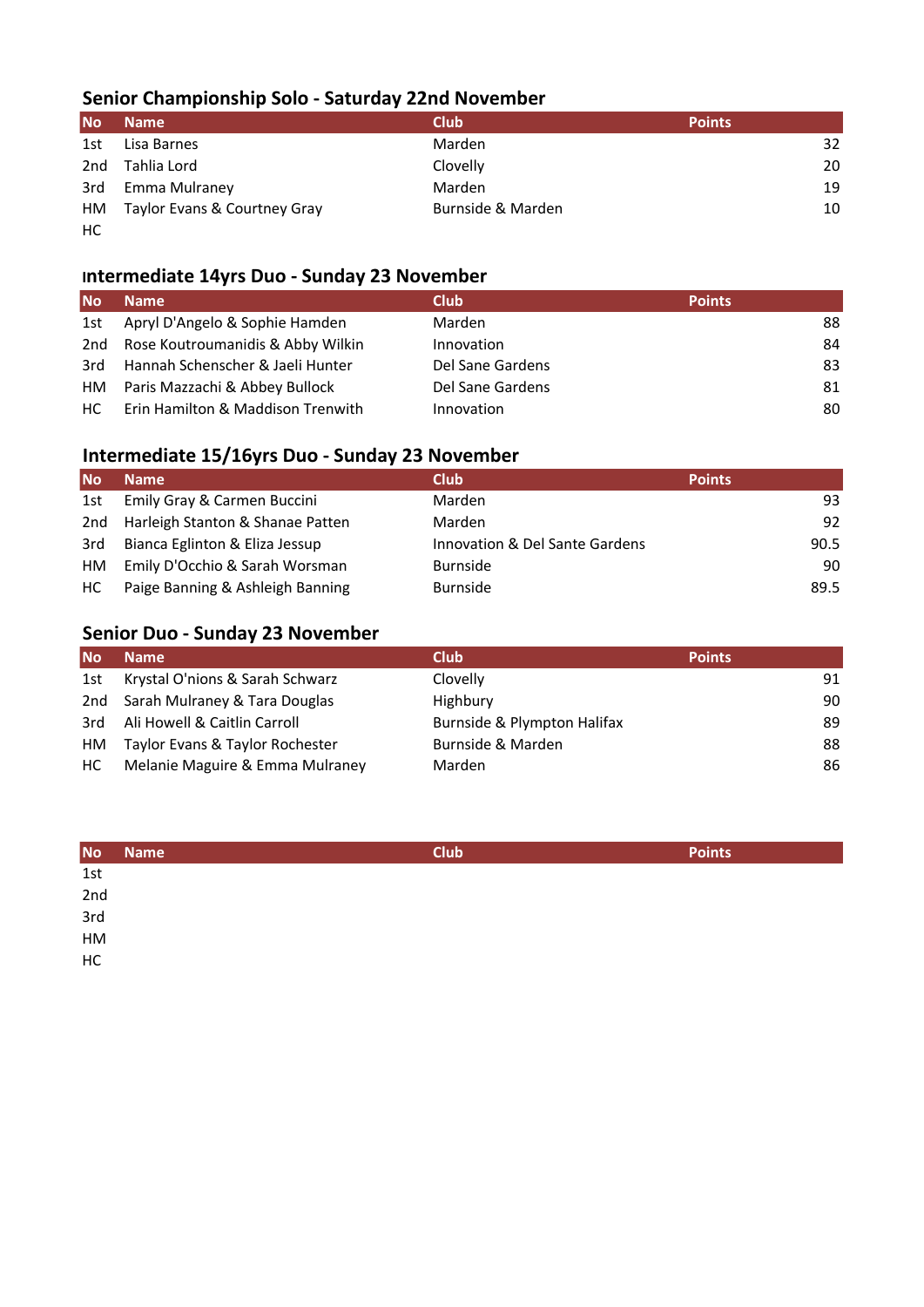# **Senior Championship Solo - Saturday 22nd November**

| <b>No</b> | <b>Name</b>                  | <b>Club</b>       | <b>Points</b> |
|-----------|------------------------------|-------------------|---------------|
| 1st       | Lisa Barnes                  | Marden            | 32            |
| 2nd       | Tahlia Lord                  | Clovelly          | 20            |
| 3rd       | Emma Mulraney                | Marden            | 19            |
| HM        | Taylor Evans & Courtney Gray | Burnside & Marden | 10            |
| HC.       |                              |                   |               |

## **Intermediate 14yrs Duo - Sunday 23 November**

| <b>No</b> | Name                              | <b>Club</b>      | <b>Points</b> |
|-----------|-----------------------------------|------------------|---------------|
| 1st       | Apryl D'Angelo & Sophie Hamden    | Marden           | 88            |
| 2nd       | Rose Koutroumanidis & Abby Wilkin | Innovation       | 84            |
| 3rd       | Hannah Schenscher & Jaeli Hunter  | Del Sane Gardens | 83            |
| HМ        | Paris Mazzachi & Abbey Bullock    | Del Sane Gardens | 81            |
| HC.       | Erin Hamilton & Maddison Trenwith | Innovation       | 80            |

# **Intermediate 15/16yrs Duo - Sunday 23 November**

| <b>No</b> | <b>Name</b>                      | <b>Club</b>                    | <b>Points</b> |
|-----------|----------------------------------|--------------------------------|---------------|
| 1st       | Emily Gray & Carmen Buccini      | Marden                         | 93            |
| 2nd       | Harleigh Stanton & Shanae Patten | Marden                         | 92            |
| 3rd       | Bianca Eglinton & Eliza Jessup   | Innovation & Del Sante Gardens | 90.5          |
| HМ        | Emily D'Occhio & Sarah Worsman   | <b>Burnside</b>                | 90            |
| HC.       | Paige Banning & Ashleigh Banning | <b>Burnside</b>                | 89.5          |

# **Senior Duo - Sunday 23 November**

| <b>No</b> | <b>Name</b>                     | <b>Club</b>                 | <b>Points</b> |
|-----------|---------------------------------|-----------------------------|---------------|
| 1st       | Krystal O'nions & Sarah Schwarz | Clovelly                    | 91            |
| 2nd       | Sarah Mulraney & Tara Douglas   | Highbury                    | 90            |
| 3rd       | Ali Howell & Caitlin Carroll    | Burnside & Plympton Halifax | 89            |
| HМ        | Taylor Evans & Taylor Rochester | Burnside & Marden           | 88            |
| HC.       | Melanie Maguire & Emma Mulraney | Marden                      | 86            |

| <b>No</b>  | <b>Name</b> | <b>Club</b> | <b>Points</b> |
|------------|-------------|-------------|---------------|
| 1st        |             |             |               |
| 2nd<br>3rd |             |             |               |
|            |             |             |               |
| HM         |             |             |               |
| HC         |             |             |               |